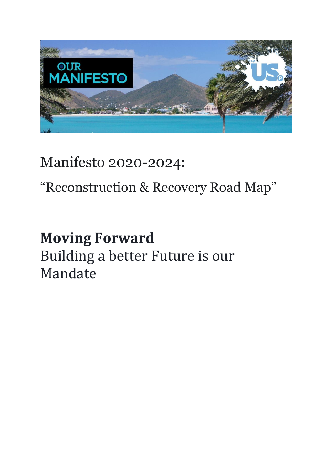

Manifesto 2020-2024:

"Reconstruction & Recovery Road Map"

# **Moving Forward** Building a better Future is our Mandate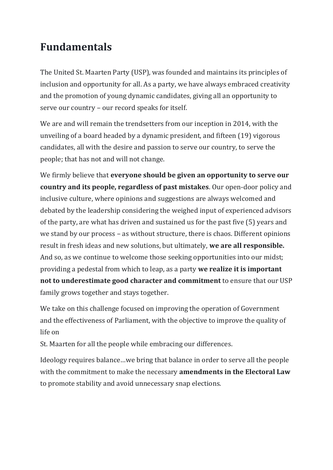### **Fundamentals**

The United St. Maarten Party (USP), was founded and maintains its principles of inclusion and opportunity for all. As a party, we have always embraced creativity and the promotion of young dynamic candidates, giving all an opportunity to serve our country – our record speaks for itself.

We are and will remain the trendsetters from our inception in 2014, with the unveiling of a board headed by a dynamic president, and fifteen (19) vigorous candidates, all with the desire and passion to serve our country, to serve the people; that has not and will not change.

We firmly believe that **everyone should be given an opportunity to serve our country and its people, regardless of past mistakes**. Our open-door policy and inclusive culture, where opinions and suggestions are always welcomed and debated by the leadership considering the weighed input of experienced advisors of the party, are what has driven and sustained us for the past five (5) years and we stand by our process – as without structure, there is chaos. Different opinions result in fresh ideas and new solutions, but ultimately, **we are all responsible.** And so, as we continue to welcome those seeking opportunities into our midst; providing a pedestal from which to leap, as a party **we realize it is important not to underestimate good character and commitment** to ensure that our USP family grows together and stays together.

We take on this challenge focused on improving the operation of Government and the effectiveness of Parliament, with the objective to improve the quality of life on

St. Maarten for all the people while embracing our differences.

Ideology requires balance…we bring that balance in order to serve all the people with the commitment to make the necessary **amendments in the Electoral Law** to promote stability and avoid unnecessary snap elections.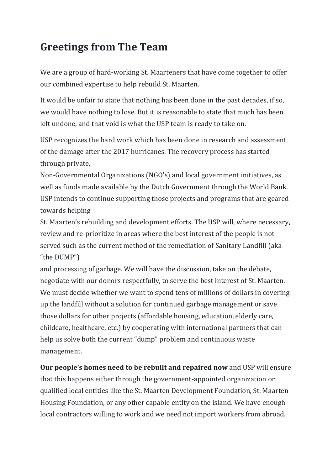### **Greetings from The Team**

We are a group of hard-working St. Maarteners that have come together to offer our combined expertise to help rebuild St. Maarten.

It would be unfair to state that nothing has been done in the past decades, if so, we would have nothing to lose. But it is reasonable to state that much has been left undone, and that void is what the USP team is ready to take on.

USP recognizes the hard work which has been done in research and assessment of the damage after the 2017 hurricanes. The recovery process has started through private,

Non-Governmental Organizations (NGO's) and local government initiatives, as well as funds made available by the Dutch Government through the World Bank. USP intends to continue supporting those projects and programs that are geared towards helping

St. Maarten's rebuilding and development efforts. The USP will, where necessary, review and re-prioritize in areas where the best interest of the people is not served such as the current method of the remediation of Sanitary Landfill (aka "the DUMP")

and processing of garbage. We will have the discussion, take on the debate, negotiate with our donors respectfully, to serve the best interest of St. Maarten. We must decide whether we want to spend tens of millions of dollars in covering up the landfill without a solution for continued garbage management or save those dollars for other projects (affordable housing, education, elderly care, childcare, healthcare, etc.) by cooperating with international partners that can help us solve both the current "dump" problem and continuous waste management.

**Our people's homes need to be rebuilt and repaired now** and USP will ensure that this happens either through the government-appointed organization or qualified local entities like the St. Maarten Development Foundation, St. Maarten Housing Foundation, or any other capable entity on the island. We have enough local contractors willing to work and we need not import workers from abroad.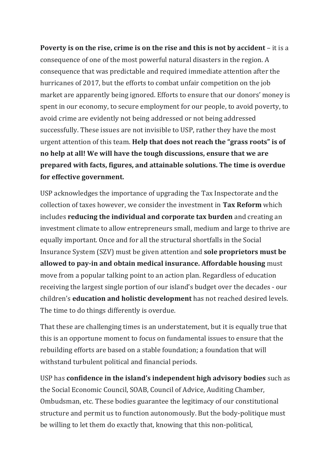**Poverty is on the rise, crime is on the rise and this is not by accident** – it is a consequence of one of the most powerful natural disasters in the region. A consequence that was predictable and required immediate attention after the hurricanes of 2017, but the efforts to combat unfair competition on the job market are apparently being ignored. Efforts to ensure that our donors' money is spent in our economy, to secure employment for our people, to avoid poverty, to avoid crime are evidently not being addressed or not being addressed successfully. These issues are not invisible to USP, rather they have the most urgent attention of this team. **Help that does not reach the "grass roots" is of no help at all! We will have the tough discussions, ensure that we are prepared with facts, figures, and attainable solutions. The time is overdue for effective government.**

USP acknowledges the importance of upgrading the Tax Inspectorate and the collection of taxes however, we consider the investment in **Tax Reform** which includes **reducing the individual and corporate tax burden** and creating an investment climate to allow entrepreneurs small, medium and large to thrive are equally important. Once and for all the structural shortfalls in the Social Insurance System (SZV) must be given attention and **sole proprietors must be allowed to pay-in and obtain medical insurance. Affordable housing** must move from a popular talking point to an action plan. Regardless of education receiving the largest single portion of our island's budget over the decades - our children's **education and holistic development** has not reached desired levels. The time to do things differently is overdue.

That these are challenging times is an understatement, but it is equally true that this is an opportune moment to focus on fundamental issues to ensure that the rebuilding efforts are based on a stable foundation; a foundation that will withstand turbulent political and financial periods.

USP has **confidence in the island's independent high advisory bodies** such as the Social Economic Council, SOAB, Council of Advice, Auditing Chamber, Ombudsman, etc. These bodies guarantee the legitimacy of our constitutional structure and permit us to function autonomously. But the body-politique must be willing to let them do exactly that, knowing that this non-political,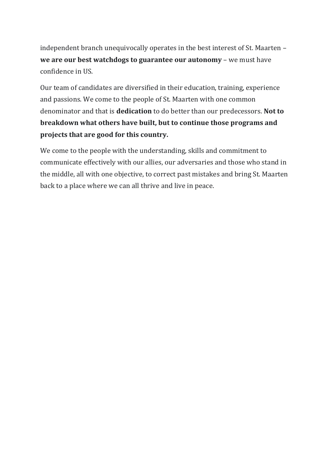independent branch unequivocally operates in the best interest of St. Maarten – **we are our best watchdogs to guarantee our autonomy** – we must have confidence in US.

Our team of candidates are diversified in their education, training, experience and passions. We come to the people of St. Maarten with one common denominator and that is **dedication** to do better than our predecessors. **Not to breakdown what others have built, but to continue those programs and projects that are good for this country.**

We come to the people with the understanding, skills and commitment to communicate effectively with our allies, our adversaries and those who stand in the middle, all with one objective, to correct past mistakes and bring St. Maarten back to a place where we can all thrive and live in peace.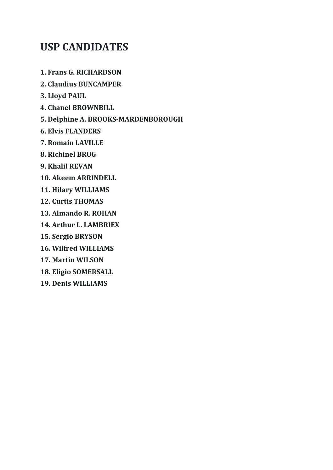#### **USP CANDIDATES**

**1. Frans G. RICHARDSON**

- **2. Claudius BUNCAMPER**
- **3. Lloyd PAUL**
- **4. Chanel BROWNBILL**
- **5. Delphine A. BROOKS-MARDENBOROUGH**
- **6. Elvis FLANDERS**
- **7. Romain LAVILLE**
- **8. Richinel BRUG**
- **9. Khalil REVAN**
- **10. Akeem ARRINDELL**
- **11. Hilary WILLIAMS**
- **12. Curtis THOMAS**
- **13. Almando R. ROHAN**
- **14. Arthur L. LAMBRIEX**
- **15. Sergio BRYSON**
- **16. Wilfred WILLIAMS**
- **17. Martin WILSON**
- **18. Eligio SOMERSALL**
- **19. Denis WILLIAMS**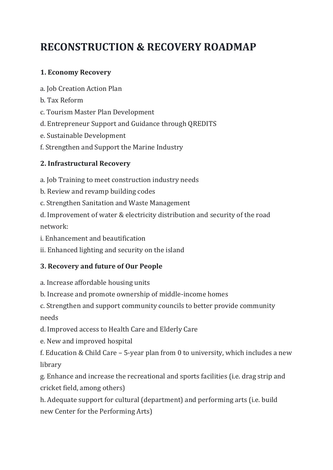## **RECONSTRUCTION & RECOVERY ROADMAP**

#### **1. Economy Recovery**

- a. Job Creation Action Plan
- b. Tax Reform
- c. Tourism Master Plan Development
- d. Entrepreneur Support and Guidance through QREDITS
- e. Sustainable Development
- f. Strengthen and Support the Marine Industry

#### **2. Infrastructural Recovery**

a. Job Training to meet construction industry needs

- b. Review and revamp building codes
- c. Strengthen Sanitation and Waste Management

d. Improvement of water & electricity distribution and security of the road network:

- i. Enhancement and beautification
- ii. Enhanced lighting and security on the island

#### **3. Recovery and future of Our People**

- a. Increase affordable housing units
- b. Increase and promote ownership of middle-income homes
- c. Strengthen and support community councils to better provide community needs
- d. Improved access to Health Care and Elderly Care
- e. New and improved hospital
- f. Education & Child Care 5-year plan from 0 to university, which includes a new library

g. Enhance and increase the recreational and sports facilities (i.e. drag strip and cricket field, among others)

h. Adequate support for cultural (department) and performing arts (i.e. build new Center for the Performing Arts)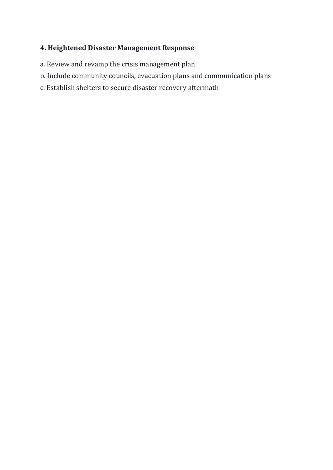#### **4. Heightened Disaster Management Response**

- a. Review and revamp the crisis management plan
- b. Include community councils, evacuation plans and communication plans
- c. Establish shelters to secure disaster recovery aftermath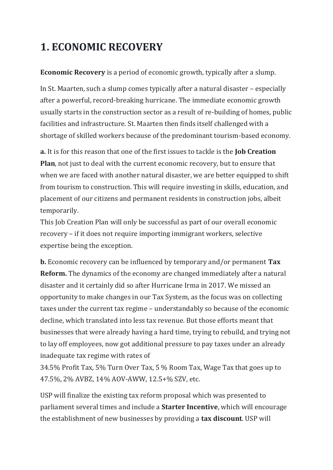## **1. ECONOMIC RECOVERY**

**Economic Recovery** is a period of economic growth, typically after a slump.

In St. Maarten, such a slump comes typically after a natural disaster – especially after a powerful, record-breaking hurricane. The immediate economic growth usually starts in the construction sector as a result of re-building of homes, public facilities and infrastructure. St. Maarten then finds itself challenged with a shortage of skilled workers because of the predominant tourism-based economy.

**a.** It is for this reason that one of the first issues to tackle is the **Job Creation Plan**, not just to deal with the current economic recovery, but to ensure that when we are faced with another natural disaster, we are better equipped to shift from tourism to construction. This will require investing in skills, education, and placement of our citizens and permanent residents in construction jobs, albeit temporarily.

This Job Creation Plan will only be successful as part of our overall economic recovery – if it does not require importing immigrant workers, selective expertise being the exception.

**b.** Economic recovery can be influenced by temporary and/or permanent **Tax Reform.** The dynamics of the economy are changed immediately after a natural disaster and it certainly did so after Hurricane Irma in 2017. We missed an opportunity to make changes in our Tax System, as the focus was on collecting taxes under the current tax regime – understandably so because of the economic decline, which translated into less tax revenue. But those efforts meant that businesses that were already having a hard time, trying to rebuild, and trying not to lay off employees, now got additional pressure to pay taxes under an already inadequate tax regime with rates of

34.5% Profit Tax, 5% Turn Over Tax, 5 % Room Tax, Wage Tax that goes up to 47.5%, 2% AVBZ, 14% AOV-AWW, 12.5+% SZV, etc.

USP will finalize the existing tax reform proposal which was presented to parliament several times and include a **Starter Incentive**, which will encourage the establishment of new businesses by providing a **tax discount**. USP will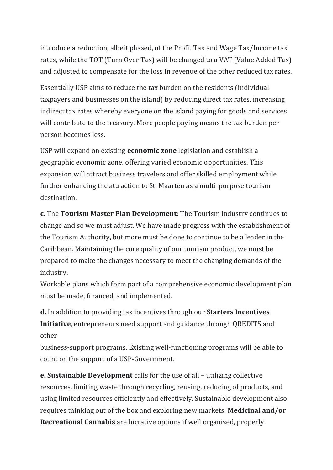introduce a reduction, albeit phased, of the Profit Tax and Wage Tax/Income tax rates, while the TOT (Turn Over Tax) will be changed to a VAT (Value Added Tax) and adjusted to compensate for the loss in revenue of the other reduced tax rates.

Essentially USP aims to reduce the tax burden on the residents (individual taxpayers and businesses on the island) by reducing direct tax rates, increasing indirect tax rates whereby everyone on the island paying for goods and services will contribute to the treasury. More people paying means the tax burden per person becomes less.

USP will expand on existing **economic zone** legislation and establish a geographic economic zone, offering varied economic opportunities. This expansion will attract business travelers and offer skilled employment while further enhancing the attraction to St. Maarten as a multi-purpose tourism destination.

**c.** The **Tourism Master Plan Development**: The Tourism industry continues to change and so we must adjust. We have made progress with the establishment of the Tourism Authority, but more must be done to continue to be a leader in the Caribbean. Maintaining the core quality of our tourism product, we must be prepared to make the changes necessary to meet the changing demands of the industry.

Workable plans which form part of a comprehensive economic development plan must be made, financed, and implemented.

**d.** In addition to providing tax incentives through our **Starters Incentives Initiative**, entrepreneurs need support and guidance through QREDITS and other

business-support programs. Existing well-functioning programs will be able to count on the support of a USP-Government.

**e. Sustainable Development** calls for the use of all – utilizing collective resources, limiting waste through recycling, reusing, reducing of products, and using limited resources efficiently and effectively. Sustainable development also requires thinking out of the box and exploring new markets. **Medicinal and/or Recreational Cannabis** are lucrative options if well organized, properly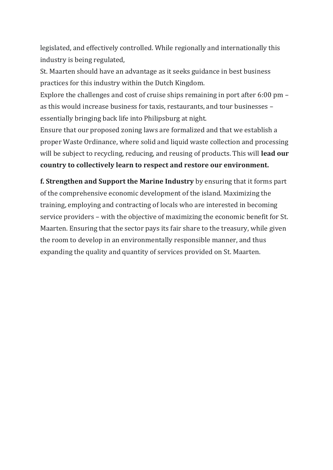legislated, and effectively controlled. While regionally and internationally this industry is being regulated,

St. Maarten should have an advantage as it seeks guidance in best business practices for this industry within the Dutch Kingdom.

Explore the challenges and cost of cruise ships remaining in port after 6:00 pm – as this would increase business for taxis, restaurants, and tour businesses – essentially bringing back life into Philipsburg at night.

Ensure that our proposed zoning laws are formalized and that we establish a proper Waste Ordinance, where solid and liquid waste collection and processing will be subject to recycling, reducing, and reusing of products. This will **lead our country to collectively learn to respect and restore our environment.**

**f. Strengthen and Support the Marine Industry** by ensuring that it forms part of the comprehensive economic development of the island. Maximizing the training, employing and contracting of locals who are interested in becoming service providers – with the objective of maximizing the economic benefit for St. Maarten. Ensuring that the sector pays its fair share to the treasury, while given the room to develop in an environmentally responsible manner, and thus expanding the quality and quantity of services provided on St. Maarten.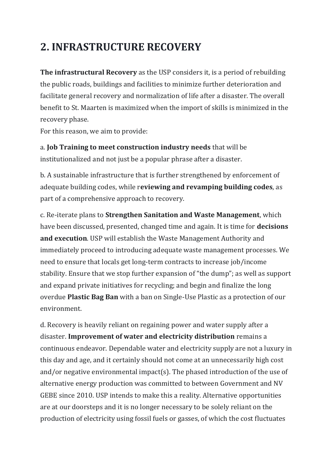### **2. INFRASTRUCTURE RECOVERY**

**The infrastructural Recovery** as the USP considers it, is a period of rebuilding the public roads, buildings and facilities to minimize further deterioration and facilitate general recovery and normalization of life after a disaster. The overall benefit to St. Maarten is maximized when the import of skills is minimized in the recovery phase.

For this reason, we aim to provide:

a. **Job Training to meet construction industry needs** that will be institutionalized and not just be a popular phrase after a disaster.

b. A sustainable infrastructure that is further strengthened by enforcement of adequate building codes, while r**eviewing and revamping building codes**, as part of a comprehensive approach to recovery.

c. Re-iterate plans to **Strengthen Sanitation and Waste Management**, which have been discussed, presented, changed time and again. It is time for **decisions and execution**. USP will establish the Waste Management Authority and immediately proceed to introducing adequate waste management processes. We need to ensure that locals get long-term contracts to increase job/income stability. Ensure that we stop further expansion of "the dump"; as well as support and expand private initiatives for recycling; and begin and finalize the long overdue **Plastic Bag Ban** with a ban on Single-Use Plastic as a protection of our environment.

d. Recovery is heavily reliant on regaining power and water supply after a disaster. **Improvement of water and electricity distribution** remains a continuous endeavor. Dependable water and electricity supply are not a luxury in this day and age, and it certainly should not come at an unnecessarily high cost and/or negative environmental impact(s). The phased introduction of the use of alternative energy production was committed to between Government and NV GEBE since 2010. USP intends to make this a reality. Alternative opportunities are at our doorsteps and it is no longer necessary to be solely reliant on the production of electricity using fossil fuels or gasses, of which the cost fluctuates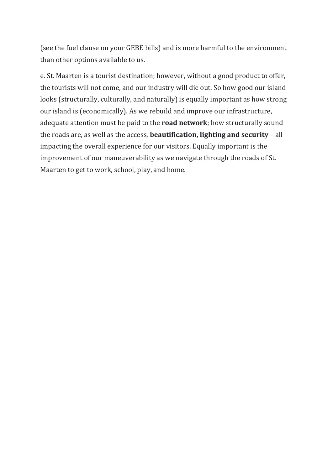(see the fuel clause on your GEBE bills) and is more harmful to the environment than other options available to us.

e. St. Maarten is a tourist destination; however, without a good product to offer, the tourists will not come, and our industry will die out. So how good our island looks (structurally, culturally, and naturally) is equally important as how strong our island is (economically). As we rebuild and improve our infrastructure, adequate attention must be paid to the **road network**; how structurally sound the roads are, as well as the access, **beautification, lighting and security** – all impacting the overall experience for our visitors. Equally important is the improvement of our maneuverability as we navigate through the roads of St. Maarten to get to work, school, play, and home.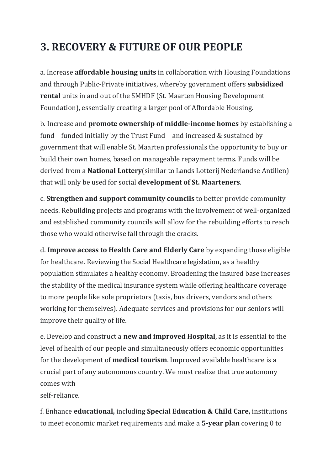## **3. RECOVERY & FUTURE OF OUR PEOPLE**

a. Increase **affordable housing units** in collaboration with Housing Foundations and through Public-Private initiatives, whereby government offers **subsidized rental** units in and out of the SMHDF (St. Maarten Housing Development Foundation), essentially creating a larger pool of Affordable Housing.

b. Increase and **promote ownership of middle-income homes** by establishing a fund – funded initially by the Trust Fund – and increased & sustained by government that will enable St. Maarten professionals the opportunity to buy or build their own homes, based on manageable repayment terms. Funds will be derived from a **National Lottery**(similar to Lands Lotterij Nederlandse Antillen) that will only be used for social **development of St. Maarteners**.

c. **Strengthen and support community councils** to better provide community needs. Rebuilding projects and programs with the involvement of well-organized and established community councils will allow for the rebuilding efforts to reach those who would otherwise fall through the cracks.

d. **Improve access to Health Care and Elderly Care** by expanding those eligible for healthcare. Reviewing the Social Healthcare legislation, as a healthy population stimulates a healthy economy. Broadening the insured base increases the stability of the medical insurance system while offering healthcare coverage to more people like sole proprietors (taxis, bus drivers, vendors and others working for themselves). Adequate services and provisions for our seniors will improve their quality of life.

e. Develop and construct a **new and improved Hospital**, as it is essential to the level of health of our people and simultaneously offers economic opportunities for the development of **medical tourism**. Improved available healthcare is a crucial part of any autonomous country. We must realize that true autonomy comes with

self-reliance.

f. Enhance **educational,** including **Special Education & Child Care,** institutions to meet economic market requirements and make a **5-year plan** covering 0 to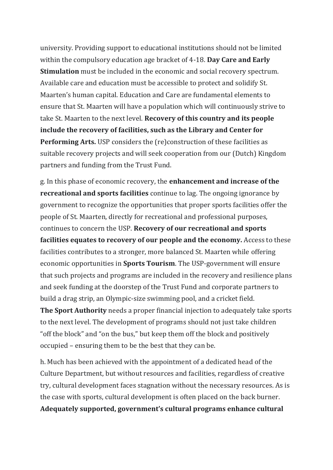university. Providing support to educational institutions should not be limited within the compulsory education age bracket of 4-18. **Day Care and Early Stimulation** must be included in the economic and social recovery spectrum. Available care and education must be accessible to protect and solidify St. Maarten's human capital. Education and Care are fundamental elements to ensure that St. Maarten will have a population which will continuously strive to take St. Maarten to the next level. **Recovery of this country and its people include the recovery of facilities, such as the Library and Center for Performing Arts.** USP considers the (re)construction of these facilities as suitable recovery projects and will seek cooperation from our (Dutch) Kingdom partners and funding from the Trust Fund.

g. In this phase of economic recovery, the **enhancement and increase of the recreational and sports facilities** continue to lag. The ongoing ignorance by government to recognize the opportunities that proper sports facilities offer the people of St. Maarten, directly for recreational and professional purposes, continues to concern the USP. **Recovery of our recreational and sports facilities equates to recovery of our people and the economy.** Access to these facilities contributes to a stronger, more balanced St. Maarten while offering economic opportunities in **Sports Tourism**. The USP-government will ensure that such projects and programs are included in the recovery and resilience plans and seek funding at the doorstep of the Trust Fund and corporate partners to build a drag strip, an Olympic-size swimming pool, and a cricket field.

**The Sport Authority** needs a proper financial injection to adequately take sports to the next level. The development of programs should not just take children "off the block" and "on the bus," but keep them off the block and positively occupied – ensuring them to be the best that they can be.

h. Much has been achieved with the appointment of a dedicated head of the Culture Department, but without resources and facilities, regardless of creative try, cultural development faces stagnation without the necessary resources. As is the case with sports, cultural development is often placed on the back burner.

**Adequately supported, government's cultural programs enhance cultural**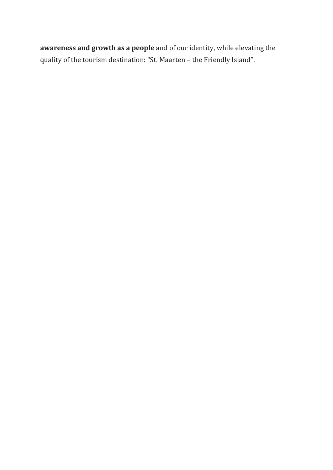**awareness and growth as a people** and of our identity, while elevating the quality of the tourism destination: "St. Maarten – the Friendly Island".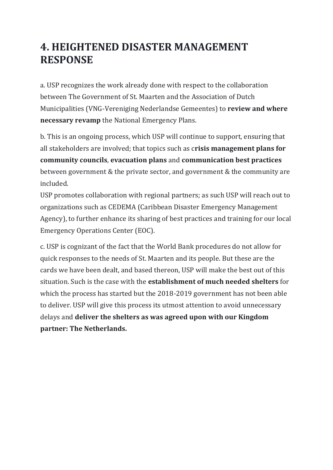#### **4. HEIGHTENED DISASTER MANAGEMENT RESPONSE**

a. USP recognizes the work already done with respect to the collaboration between The Government of St. Maarten and the Association of Dutch Municipalities (VNG-Vereniging Nederlandse Gemeentes) to **review and where necessary revamp** the National Emergency Plans.

b. This is an ongoing process, which USP will continue to support, ensuring that all stakeholders are involved; that topics such as c**risis management plans for community councils**, **evacuation plans** and **communication best practices** between government & the private sector, and government & the community are included.

USP promotes collaboration with regional partners; as such USP will reach out to organizations such as CEDEMA (Caribbean Disaster Emergency Management Agency), to further enhance its sharing of best practices and training for our local Emergency Operations Center (EOC).

c. USP is cognizant of the fact that the World Bank procedures do not allow for quick responses to the needs of St. Maarten and its people. But these are the cards we have been dealt, and based thereon, USP will make the best out of this situation. Such is the case with the **establishment of much needed shelters** for which the process has started but the 2018-2019 government has not been able to deliver. USP will give this process its utmost attention to avoid unnecessary delays and **deliver the shelters as was agreed upon with our Kingdom partner: The Netherlands.**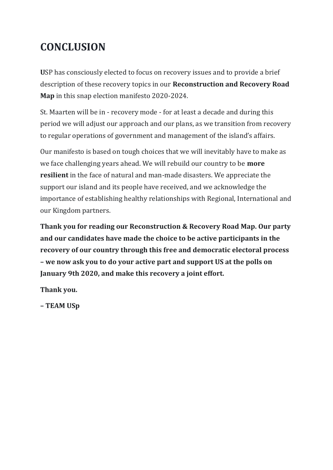## **CONCLUSION**

**U**SP has consciously elected to focus on recovery issues and to provide a brief description of these recovery topics in our **Reconstruction and Recovery Road Map** in this snap election manifesto 2020-2024.

St. Maarten will be in - recovery mode - for at least a decade and during this period we will adjust our approach and our plans, as we transition from recovery to regular operations of government and management of the island's affairs.

Our manifesto is based on tough choices that we will inevitably have to make as we face challenging years ahead. We will rebuild our country to be **more resilient** in the face of natural and man-made disasters. We appreciate the support our island and its people have received, and we acknowledge the importance of establishing healthy relationships with Regional, International and our Kingdom partners.

**Thank you for reading our Reconstruction & Recovery Road Map. Our party and our candidates have made the choice to be active participants in the recovery of our country through this free and democratic electoral process – we now ask you to do your active part and support US at the polls on January 9th 2020, and make this recovery a joint effort.**

**Thank you.**

**– TEAM USp**